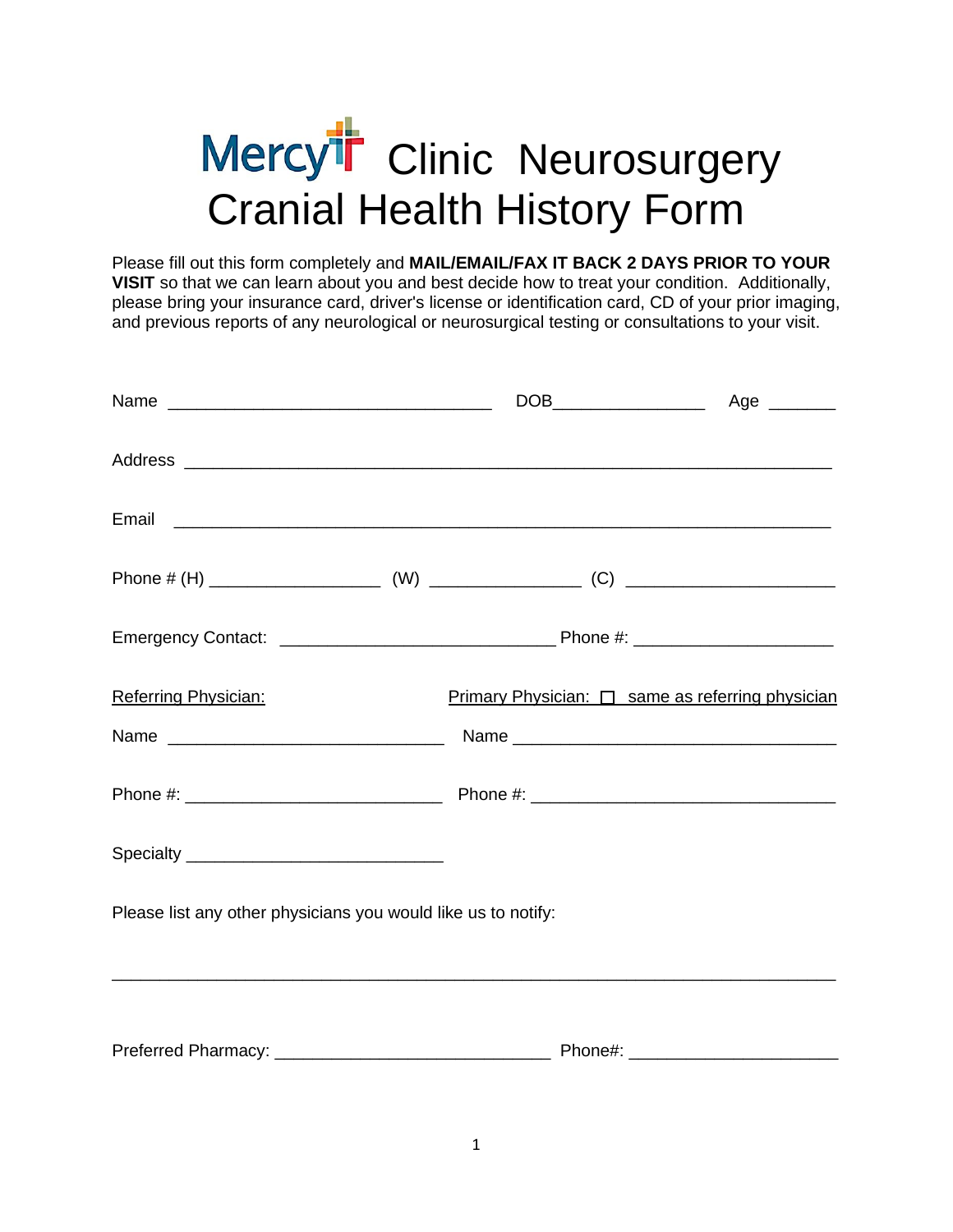# Mercy<sup>th</sup> Clinic Neurosurgery Cranial Health History Form

Please fill out this form completely and **MAIL/EMAIL/FAX IT BACK 2 DAYS PRIOR TO YOUR VISIT** so that we can learn about you and best decide how to treat your condition. Additionally, please bring your insurance card, driver's license or identification card, CD of your prior imaging, and previous reports of any neurological or neurosurgical testing or consultations to your visit.

|                                                               | Email <b>Executive Construction of the Construction Construction Construction Construction</b> |                                                  |
|---------------------------------------------------------------|------------------------------------------------------------------------------------------------|--------------------------------------------------|
|                                                               |                                                                                                |                                                  |
|                                                               |                                                                                                |                                                  |
| Referring Physician:                                          |                                                                                                | Primary Physician: □ same as referring physician |
|                                                               |                                                                                                |                                                  |
|                                                               |                                                                                                |                                                  |
|                                                               |                                                                                                |                                                  |
| Please list any other physicians you would like us to notify: |                                                                                                |                                                  |
|                                                               |                                                                                                |                                                  |
|                                                               |                                                                                                |                                                  |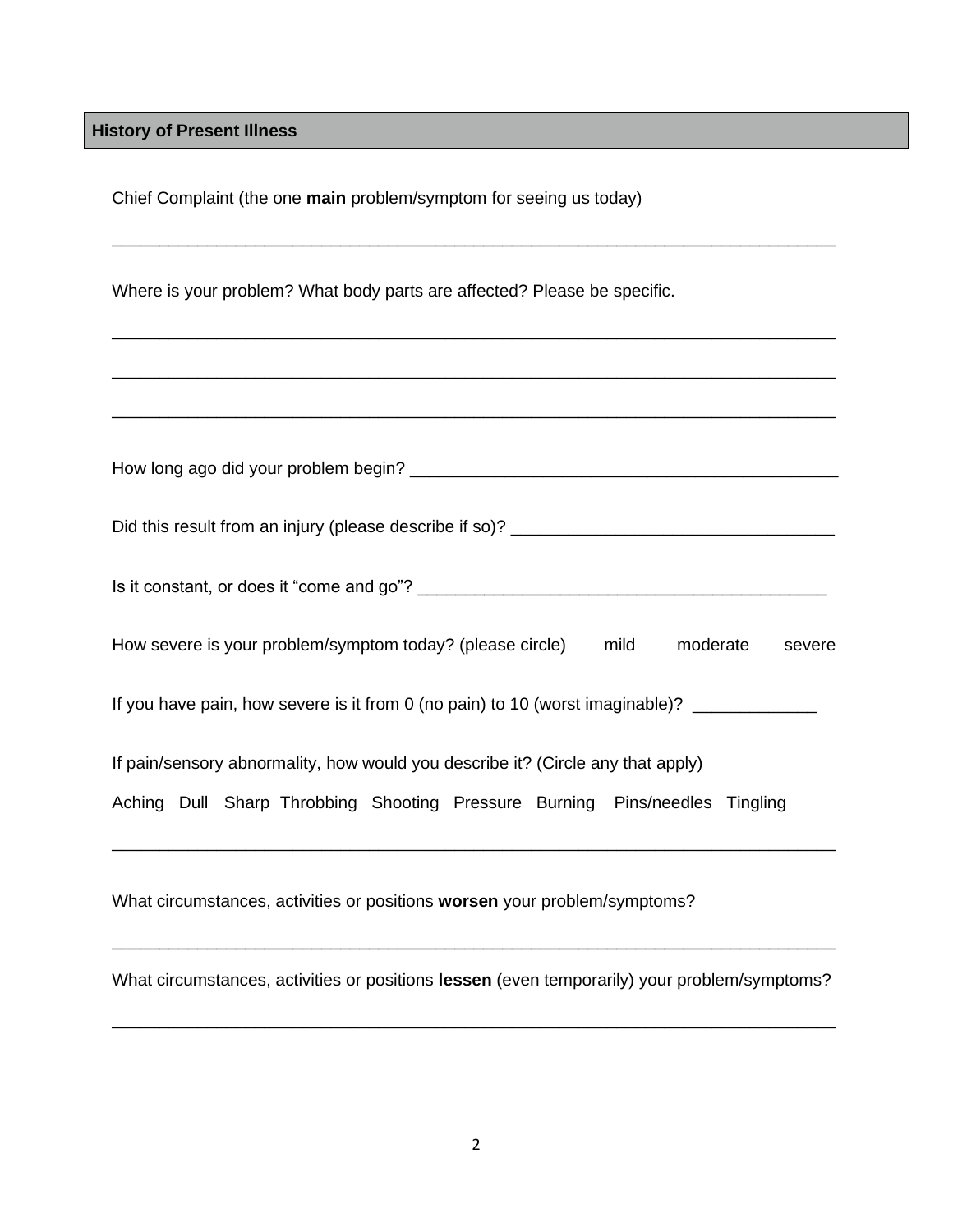**History of Present Illness**

Chief Complaint (the one **main** problem/symptom for seeing us today)

Where is your problem? What body parts are affected? Please be specific.

| How severe is your problem/symptom today? (please circle) mild<br>moderate<br>severe                                                                           |
|----------------------------------------------------------------------------------------------------------------------------------------------------------------|
| If you have pain, how severe is it from 0 (no pain) to 10 (worst imaginable)?                                                                                  |
| If pain/sensory abnormality, how would you describe it? (Circle any that apply)<br>Aching Dull Sharp Throbbing Shooting Pressure Burning Pins/needles Tingling |
| What circumstances, activities or positions worsen your problem/symptoms?                                                                                      |

\_\_\_\_\_\_\_\_\_\_\_\_\_\_\_\_\_\_\_\_\_\_\_\_\_\_\_\_\_\_\_\_\_\_\_\_\_\_\_\_\_\_\_\_\_\_\_\_\_\_\_\_\_\_\_\_\_\_\_\_\_\_\_\_\_\_\_\_\_\_\_\_\_\_\_\_

\_\_\_\_\_\_\_\_\_\_\_\_\_\_\_\_\_\_\_\_\_\_\_\_\_\_\_\_\_\_\_\_\_\_\_\_\_\_\_\_\_\_\_\_\_\_\_\_\_\_\_\_\_\_\_\_\_\_\_\_\_\_\_\_\_\_\_\_\_\_\_\_\_\_\_\_

\_\_\_\_\_\_\_\_\_\_\_\_\_\_\_\_\_\_\_\_\_\_\_\_\_\_\_\_\_\_\_\_\_\_\_\_\_\_\_\_\_\_\_\_\_\_\_\_\_\_\_\_\_\_\_\_\_\_\_\_\_\_\_\_\_\_\_\_\_\_\_\_\_\_\_\_

What circumstances, activities or positions **lessen** (even temporarily) your problem/symptoms?

\_\_\_\_\_\_\_\_\_\_\_\_\_\_\_\_\_\_\_\_\_\_\_\_\_\_\_\_\_\_\_\_\_\_\_\_\_\_\_\_\_\_\_\_\_\_\_\_\_\_\_\_\_\_\_\_\_\_\_\_\_\_\_\_\_\_\_\_\_\_\_\_\_\_\_\_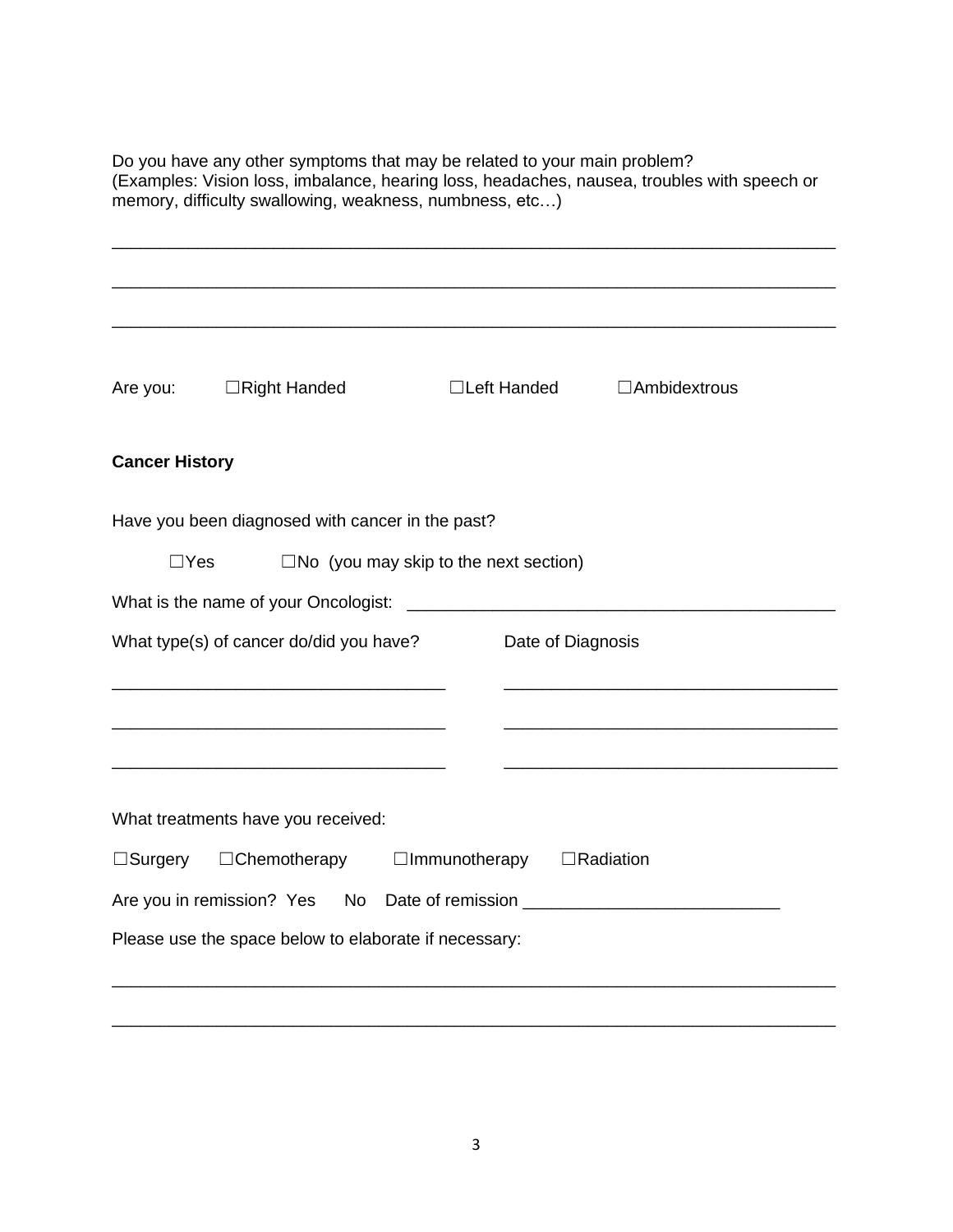| Do you have any other symptoms that may be related to your main problem?<br>memory, difficulty swallowing, weakness, numbness, etc) | (Examples: Vision loss, imbalance, hearing loss, headaches, nausea, troubles with speech or |
|-------------------------------------------------------------------------------------------------------------------------------------|---------------------------------------------------------------------------------------------|
| $\Box$ Right Handed<br>Are you:                                                                                                     | □Left Handed<br>$\Box$ Ambidextrous                                                         |
| <b>Cancer History</b>                                                                                                               |                                                                                             |
| Have you been diagnosed with cancer in the past?<br>$\square$ No (you may skip to the next section)<br>$\Box$ Yes                   |                                                                                             |
| What is the name of your Oncologist:<br>What type(s) of cancer do/did you have?                                                     | <u> 1989 - Johann John Stone, mars eta biztanleria (h. 1989).</u><br>Date of Diagnosis      |
|                                                                                                                                     |                                                                                             |
| What treatments have you received:<br>□Surgery □Chemotherapy<br>Are you in remission? Yes                                           | □Immunotherapy □Radiation                                                                   |
| Please use the space below to elaborate if necessary:                                                                               |                                                                                             |

3

\_\_\_\_\_\_\_\_\_\_\_\_\_\_\_\_\_\_\_\_\_\_\_\_\_\_\_\_\_\_\_\_\_\_\_\_\_\_\_\_\_\_\_\_\_\_\_\_\_\_\_\_\_\_\_\_\_\_\_\_\_\_\_\_\_\_\_\_\_\_\_\_\_\_\_\_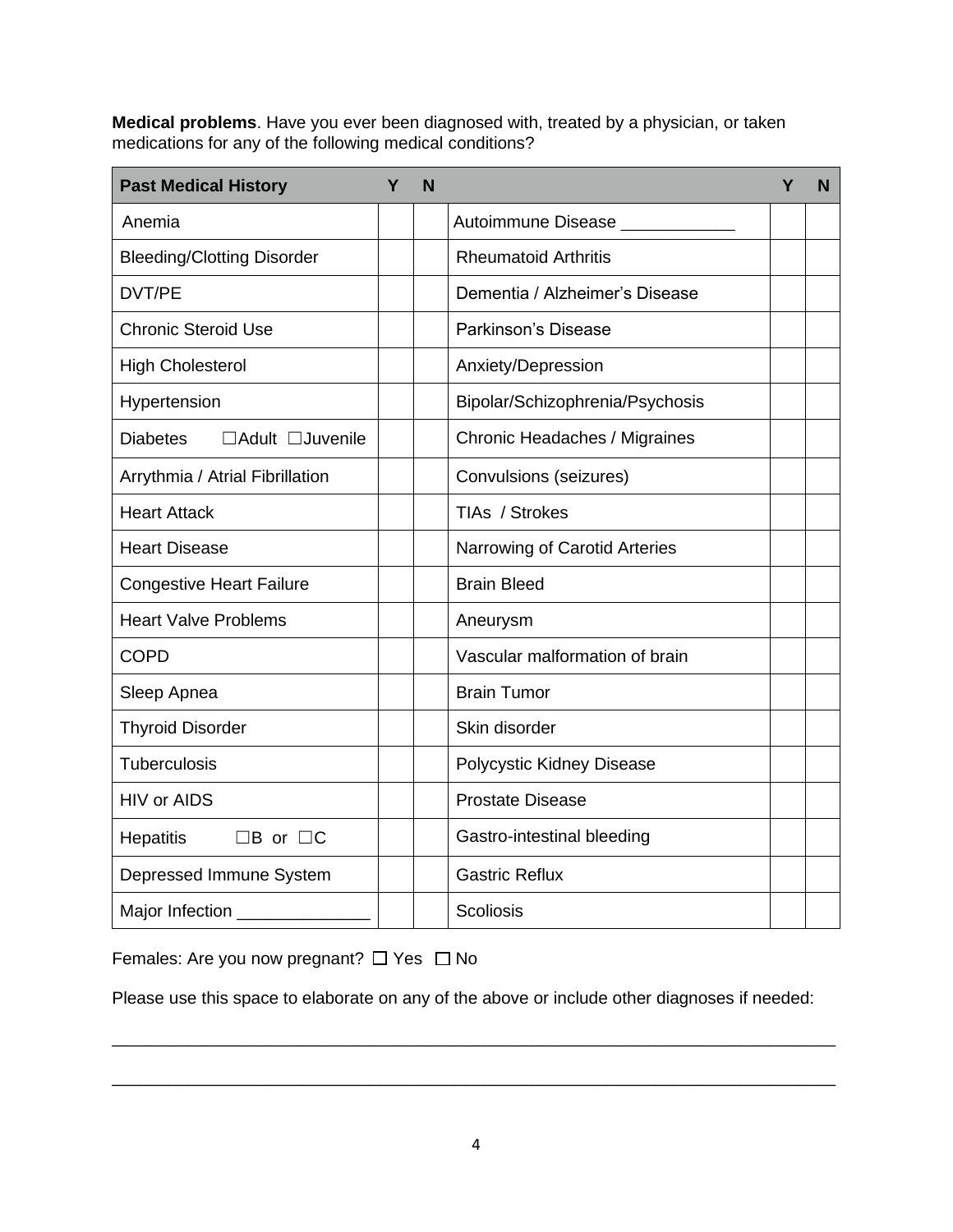**Medical problems**. Have you ever been diagnosed with, treated by a physician, or taken medications for any of the following medical conditions?

| <b>Past Medical History</b>         | Υ | N |                                 | Υ | N |
|-------------------------------------|---|---|---------------------------------|---|---|
| Anemia                              |   |   | Autoimmune Disease _______      |   |   |
| <b>Bleeding/Clotting Disorder</b>   |   |   | <b>Rheumatoid Arthritis</b>     |   |   |
| DVT/PE                              |   |   | Dementia / Alzheimer's Disease  |   |   |
| <b>Chronic Steroid Use</b>          |   |   | Parkinson's Disease             |   |   |
| <b>High Cholesterol</b>             |   |   | Anxiety/Depression              |   |   |
| Hypertension                        |   |   | Bipolar/Schizophrenia/Psychosis |   |   |
| <b>Diabetes</b><br>□Adult □Juvenile |   |   | Chronic Headaches / Migraines   |   |   |
| Arrythmia / Atrial Fibrillation     |   |   | Convulsions (seizures)          |   |   |
| <b>Heart Attack</b>                 |   |   | TIAs / Strokes                  |   |   |
| <b>Heart Disease</b>                |   |   | Narrowing of Carotid Arteries   |   |   |
| <b>Congestive Heart Failure</b>     |   |   | <b>Brain Bleed</b>              |   |   |
| <b>Heart Valve Problems</b>         |   |   | Aneurysm                        |   |   |
| <b>COPD</b>                         |   |   | Vascular malformation of brain  |   |   |
| Sleep Apnea                         |   |   | <b>Brain Tumor</b>              |   |   |
| <b>Thyroid Disorder</b>             |   |   | Skin disorder                   |   |   |
| Tuberculosis                        |   |   | Polycystic Kidney Disease       |   |   |
| <b>HIV or AIDS</b>                  |   |   | <b>Prostate Disease</b>         |   |   |
| Hepatitis<br>$\Box B$ or $\Box C$   |   |   | Gastro-intestinal bleeding      |   |   |
| Depressed Immune System             |   |   | <b>Gastric Reflux</b>           |   |   |
| Major Infection ______              |   |   | <b>Scoliosis</b>                |   |   |

Females: Are you now pregnant?  $\Box$  Yes  $\Box$  No

Please use this space to elaborate on any of the above or include other diagnoses if needed:

\_\_\_\_\_\_\_\_\_\_\_\_\_\_\_\_\_\_\_\_\_\_\_\_\_\_\_\_\_\_\_\_\_\_\_\_\_\_\_\_\_\_\_\_\_\_\_\_\_\_\_\_\_\_\_\_\_\_\_\_\_\_\_\_\_\_\_\_\_\_\_\_\_\_\_\_

\_\_\_\_\_\_\_\_\_\_\_\_\_\_\_\_\_\_\_\_\_\_\_\_\_\_\_\_\_\_\_\_\_\_\_\_\_\_\_\_\_\_\_\_\_\_\_\_\_\_\_\_\_\_\_\_\_\_\_\_\_\_\_\_\_\_\_\_\_\_\_\_\_\_\_\_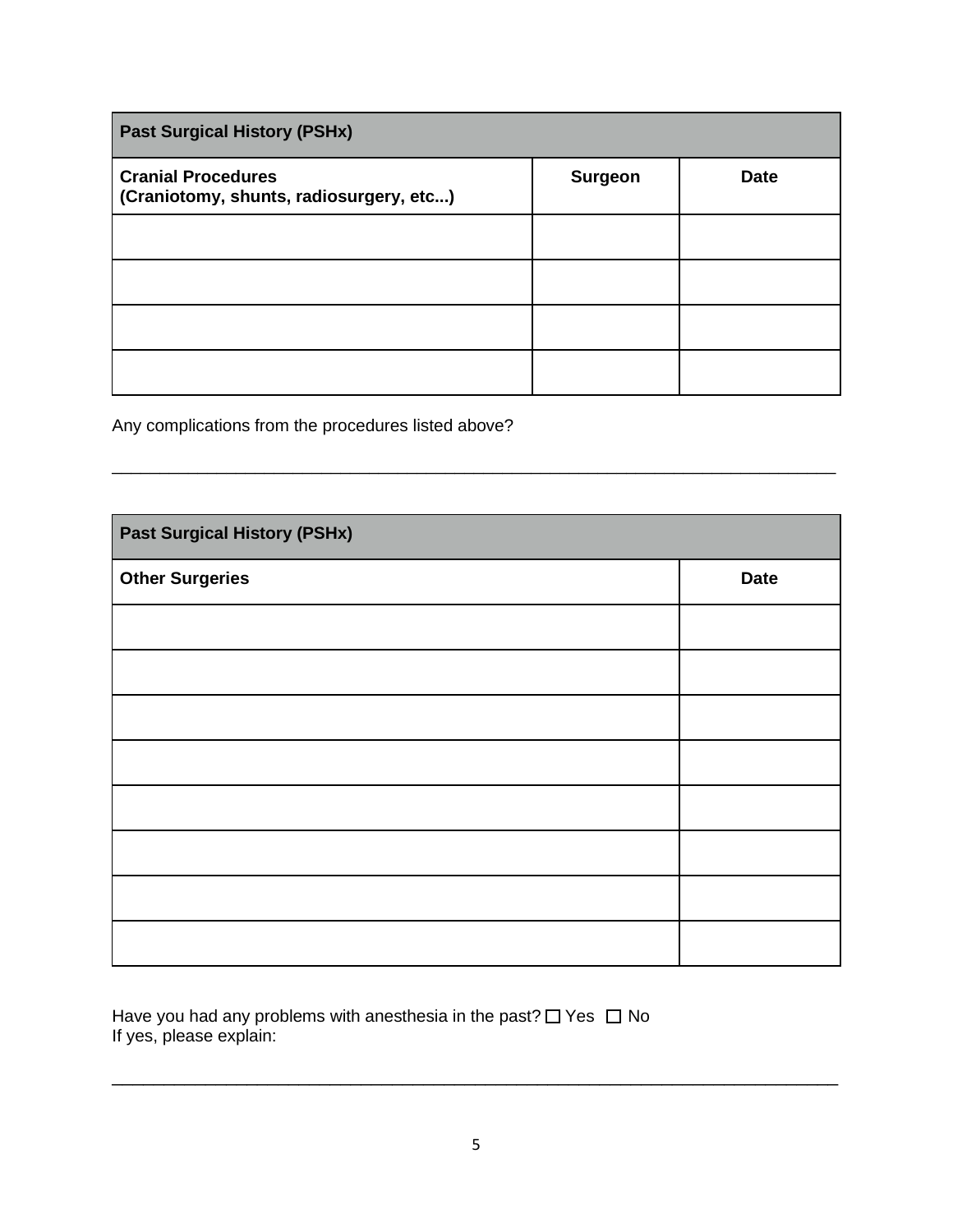| <b>Past Surgical History (PSHx)</b>                                  |                |             |
|----------------------------------------------------------------------|----------------|-------------|
| <b>Cranial Procedures</b><br>(Craniotomy, shunts, radiosurgery, etc) | <b>Surgeon</b> | <b>Date</b> |
|                                                                      |                |             |
|                                                                      |                |             |
|                                                                      |                |             |
|                                                                      |                |             |

\_\_\_\_\_\_\_\_\_\_\_\_\_\_\_\_\_\_\_\_\_\_\_\_\_\_\_\_\_\_\_\_\_\_\_\_\_\_\_\_\_\_\_\_\_\_\_\_\_\_\_\_\_\_\_\_\_\_\_\_\_\_\_\_\_\_\_\_\_\_\_\_\_\_\_\_

Any complications from the procedures listed above?

| <b>Past Surgical History (PSHx)</b> |             |
|-------------------------------------|-------------|
| <b>Other Surgeries</b>              | <b>Date</b> |
|                                     |             |
|                                     |             |
|                                     |             |
|                                     |             |
|                                     |             |
|                                     |             |
|                                     |             |
|                                     |             |

Have you had any problems with anesthesia in the past?  $\Box$  Yes  $\Box$  No If yes, please explain:

\_\_\_\_\_\_\_\_\_\_\_\_\_\_\_\_\_\_\_\_\_\_\_\_\_\_\_\_\_\_\_\_\_\_\_\_\_\_\_\_\_\_\_\_\_\_\_\_\_\_\_\_\_\_\_\_\_\_\_\_\_\_\_\_\_\_\_\_\_\_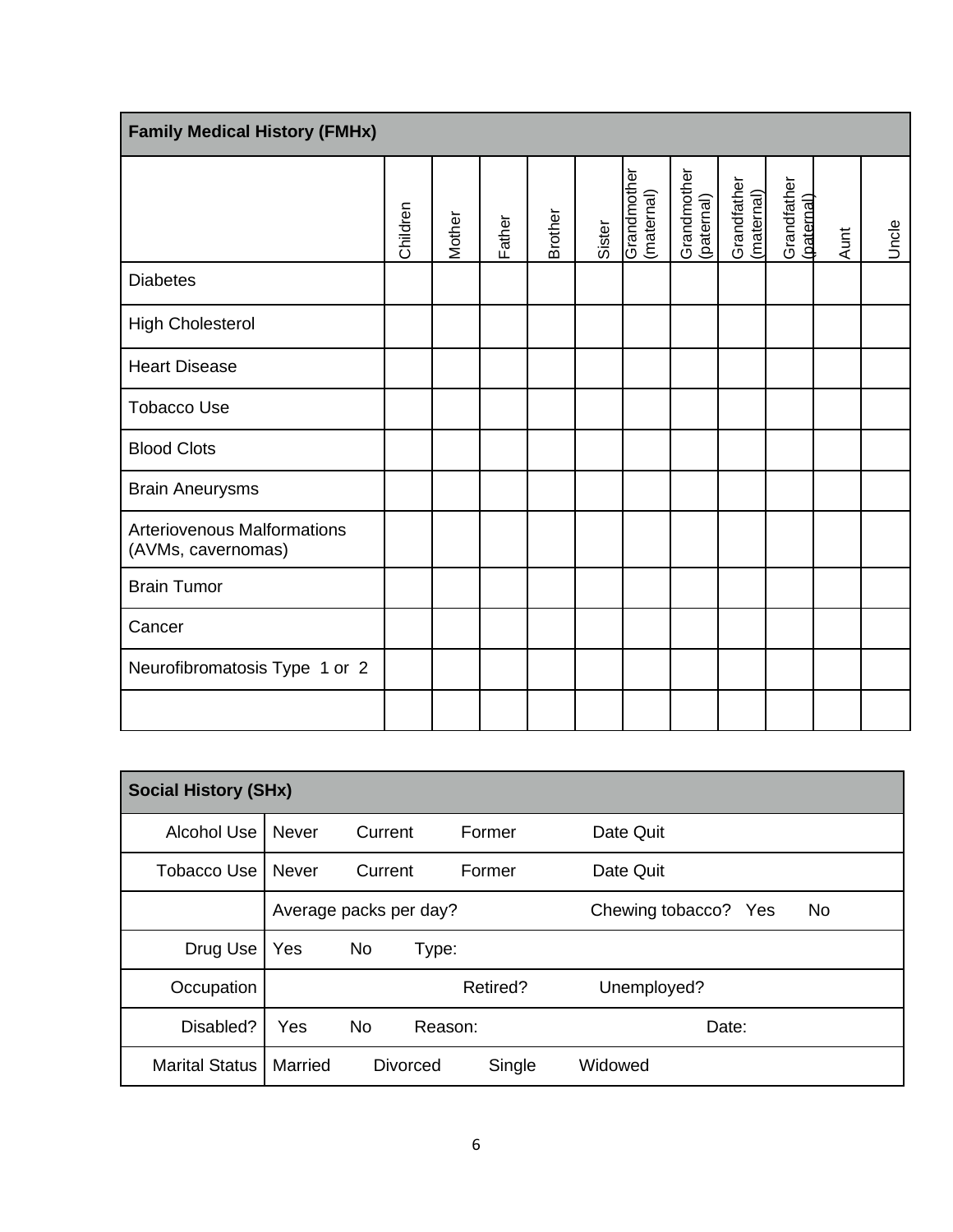| <b>Family Medical History (FMHx)</b>                     |                                                      |    |          |         |          |                |         |                           |                           |                           |                           |      |       |
|----------------------------------------------------------|------------------------------------------------------|----|----------|---------|----------|----------------|---------|---------------------------|---------------------------|---------------------------|---------------------------|------|-------|
|                                                          |                                                      |    | Children | Mother  | Father   | <b>Brother</b> | Sister  | Grandmother<br>(maternal) | Grandmother<br>(paternal) | Grandfather<br>(maternal) | Grandfather<br>(paternal) | Aunt | Uncle |
| <b>Diabetes</b>                                          |                                                      |    |          |         |          |                |         |                           |                           |                           |                           |      |       |
| <b>High Cholesterol</b>                                  |                                                      |    |          |         |          |                |         |                           |                           |                           |                           |      |       |
| <b>Heart Disease</b>                                     |                                                      |    |          |         |          |                |         |                           |                           |                           |                           |      |       |
| <b>Tobacco Use</b>                                       |                                                      |    |          |         |          |                |         |                           |                           |                           |                           |      |       |
| <b>Blood Clots</b>                                       |                                                      |    |          |         |          |                |         |                           |                           |                           |                           |      |       |
| <b>Brain Aneurysms</b>                                   |                                                      |    |          |         |          |                |         |                           |                           |                           |                           |      |       |
| <b>Arteriovenous Malformations</b><br>(AVMs, cavernomas) |                                                      |    |          |         |          |                |         |                           |                           |                           |                           |      |       |
| <b>Brain Tumor</b>                                       |                                                      |    |          |         |          |                |         |                           |                           |                           |                           |      |       |
| Cancer                                                   |                                                      |    |          |         |          |                |         |                           |                           |                           |                           |      |       |
| Neurofibromatosis Type 1 or 2                            |                                                      |    |          |         |          |                |         |                           |                           |                           |                           |      |       |
|                                                          |                                                      |    |          |         |          |                |         |                           |                           |                           |                           |      |       |
|                                                          |                                                      |    |          |         |          |                |         |                           |                           |                           |                           |      |       |
| <b>Social History (SHx)</b>                              |                                                      |    |          |         |          |                |         |                           |                           |                           |                           |      |       |
| Alcohol Use                                              | Never<br>Current<br>Former<br>Date Quit              |    |          |         |          |                |         |                           |                           |                           |                           |      |       |
| <b>Tobacco Use</b>                                       | Former<br>Date Quit<br>Never<br>Current              |    |          |         |          |                |         |                           |                           |                           |                           |      |       |
|                                                          | Average packs per day?<br>Chewing tobacco? Yes<br>No |    |          |         |          |                |         |                           |                           |                           |                           |      |       |
| Drug Use                                                 | Yes                                                  | No |          | Type:   |          |                |         |                           |                           |                           |                           |      |       |
| Occupation                                               |                                                      |    |          |         | Retired? |                |         | Unemployed?               |                           |                           |                           |      |       |
| Disabled?                                                | Yes                                                  | No |          | Reason: |          |                |         |                           |                           | Date:                     |                           |      |       |
| <b>Marital Status</b>                                    | Married                                              |    | Divorced |         | Single   |                | Widowed |                           |                           |                           |                           |      |       |

| <b>Social History (SHx)</b> |                        |           |                 |          |                      |       |    |
|-----------------------------|------------------------|-----------|-----------------|----------|----------------------|-------|----|
| Alcohol Use                 | <b>Never</b>           | Current   |                 | Former   | Date Quit            |       |    |
| Tobacco Use I               | <b>Never</b>           | Current   |                 | Former   | Date Quit            |       |    |
|                             | Average packs per day? |           |                 |          | Chewing tobacco? Yes |       | No |
| Drug Use                    | Yes                    | <b>No</b> | Type:           |          |                      |       |    |
| Occupation                  |                        |           |                 | Retired? | Unemployed?          |       |    |
| Disabled?                   | Yes                    | <b>No</b> | Reason:         |          |                      | Date: |    |
| Marital Status              | Married                |           | <b>Divorced</b> | Single   | Widowed              |       |    |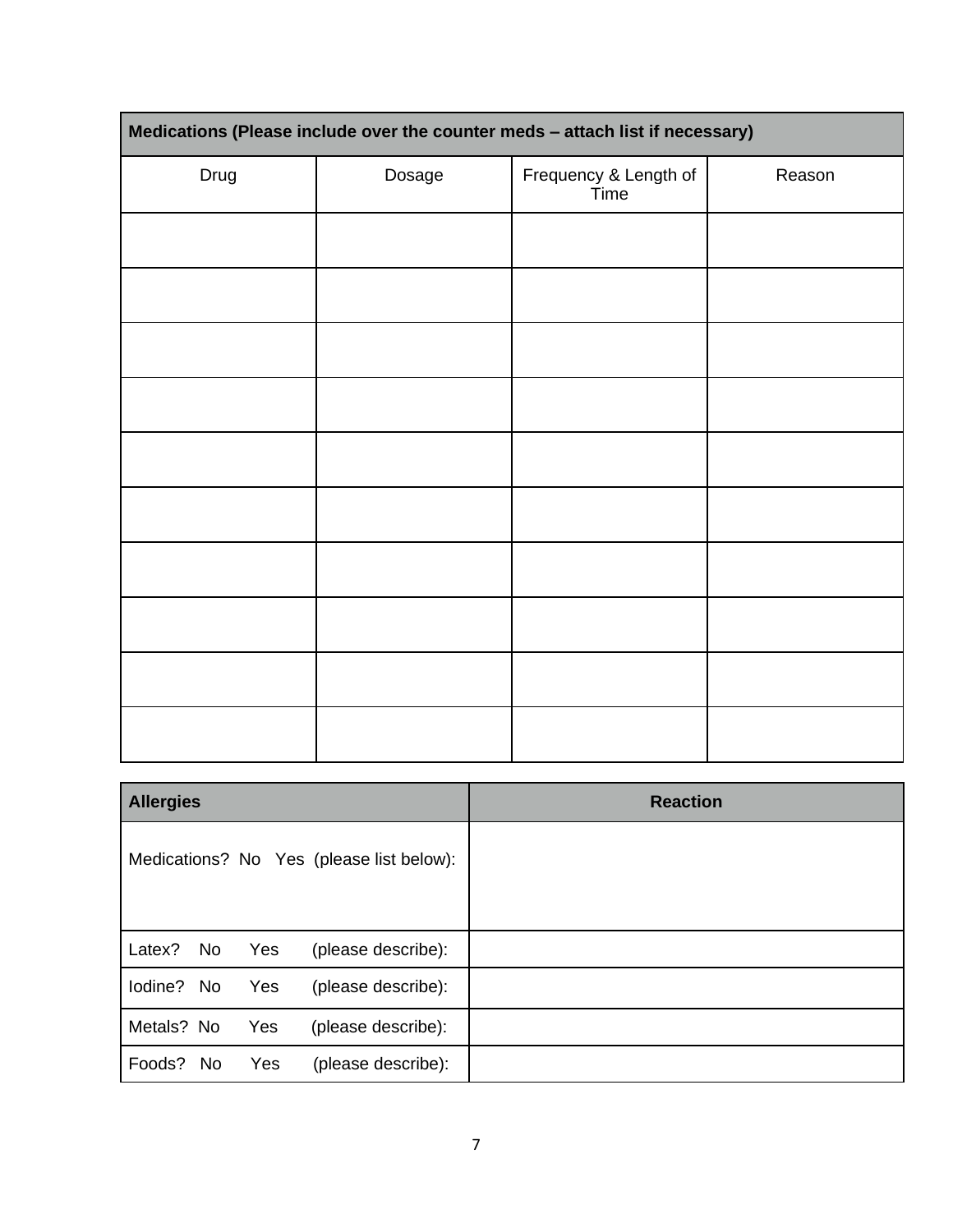| Medications (Please include over the counter meds - attach list if necessary) |        |                               |        |  |  |  |  |
|-------------------------------------------------------------------------------|--------|-------------------------------|--------|--|--|--|--|
| Drug                                                                          | Dosage | Frequency & Length of<br>Time | Reason |  |  |  |  |
|                                                                               |        |                               |        |  |  |  |  |
|                                                                               |        |                               |        |  |  |  |  |
|                                                                               |        |                               |        |  |  |  |  |
|                                                                               |        |                               |        |  |  |  |  |
|                                                                               |        |                               |        |  |  |  |  |
|                                                                               |        |                               |        |  |  |  |  |
|                                                                               |        |                               |        |  |  |  |  |
|                                                                               |        |                               |        |  |  |  |  |
|                                                                               |        |                               |        |  |  |  |  |
|                                                                               |        |                               |        |  |  |  |  |

| <b>Allergies</b>                                 | <b>Reaction</b> |
|--------------------------------------------------|-----------------|
| Medications? No Yes (please list below):         |                 |
| Latex?<br><b>No</b><br>Yes<br>(please describe): |                 |
| lodine? No<br>Yes<br>(please describe):          |                 |
| Metals? No<br>Yes<br>(please describe):          |                 |
| Foods? No<br>(please describe):<br>Yes           |                 |